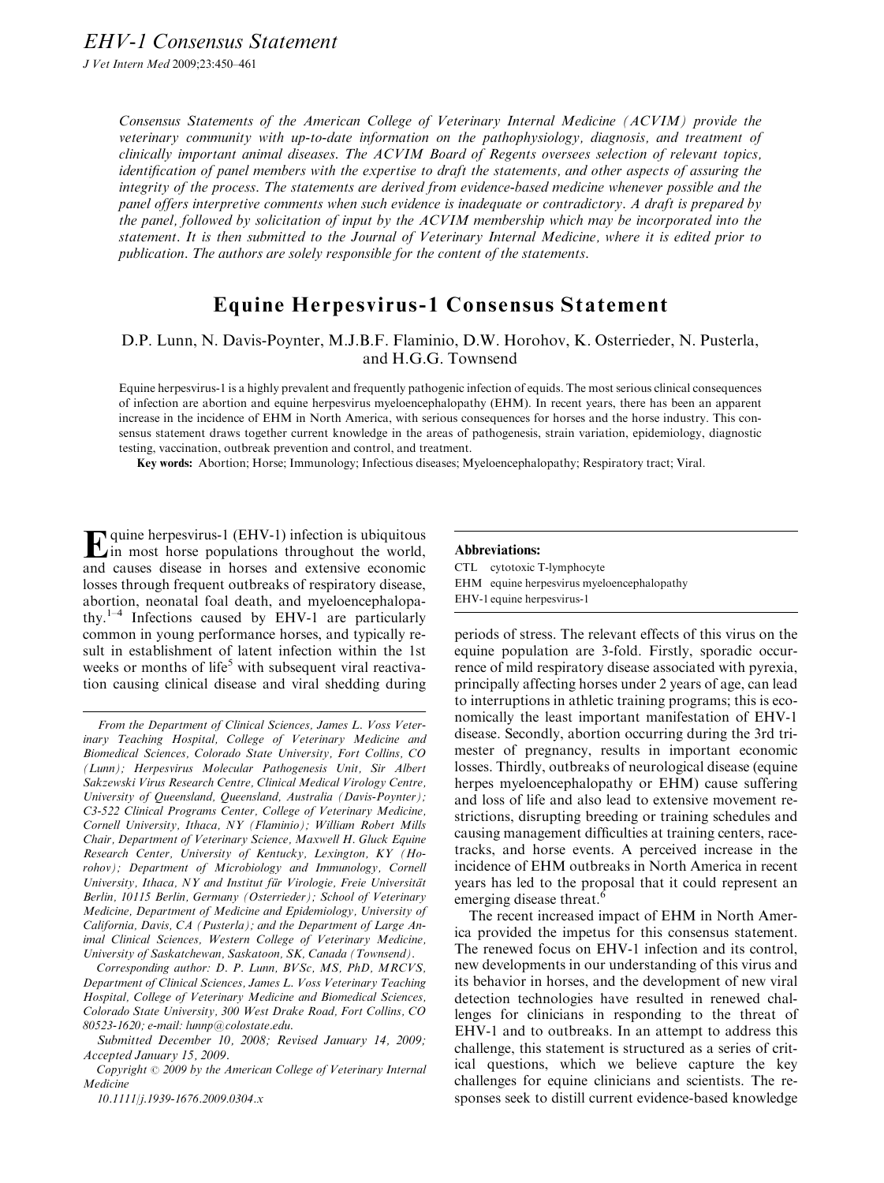J Vet Intern Med 2009;23:450–461

Consensus Statements of the American College of Veterinary Internal Medicine (ACVIM) provide the veterinary community with up-to-date information on the pathophysiology, diagnosis, and treatment of clinically important animal diseases. The ACVIM Board of Regents oversees selection of relevant topics, identification of panel members with the expertise to draft the statements, and other aspects of assuring the integrity of the process. The statements are derived from evidence-based medicine whenever possible and the panel offers interpretive comments when such evidence is inadequate or contradictory. A draft is prepared by the panel, followed by solicitation of input by the ACVIM membership which may be incorporated into the statement. It is then submitted to the Journal of Veterinary Internal Medicine, where it is edited prior to publication. The authors are solely responsible for the content of the statements.

# Equine Herpesvirus-1 Consensus Statement

D.P. Lunn, N. Davis-Poynter, M.J.B.F. Flaminio, D.W. Horohov, K. Osterrieder, N. Pusterla, and H.G.G. Townsend

Equine herpesvirus-1 is a highly prevalent and frequently pathogenic infection of equids. The most serious clinical consequences of infection are abortion and equine herpesvirus myeloencephalopathy (EHM). In recent years, there has been an apparent increase in the incidence of EHM in North America, with serious consequences for horses and the horse industry. This consensus statement draws together current knowledge in the areas of pathogenesis, strain variation, epidemiology, diagnostic testing, vaccination, outbreak prevention and control, and treatment.

Key words: Abortion; Horse; Immunology; Infectious diseases; Myeloencephalopathy; Respiratory tract; Viral.

Equine herpesvirus-1 (EHV-1) infection is ubiquitous<br>in most horse populations throughout the world, and causes disease in horses and extensive economic losses through frequent outbreaks of respiratory disease, abortion, neonatal foal death, and myeloencephalopathy.<sup>1–4</sup> Infections caused by EHV-1 are particularly common in young performance horses, and typically result in establishment of latent infection within the 1st weeks or months of life<sup>5</sup> with subsequent viral reactivation causing clinical disease and viral shedding during

From the Department of Clinical Sciences, James L. Voss Veterinary Teaching Hospital, College of Veterinary Medicine and Biomedical Sciences, Colorado State University, Fort Collins, CO (Lunn); Herpesvirus Molecular Pathogenesis Unit, Sir Albert Sakzewski Virus Research Centre, Clinical Medical Virology Centre, University of Queensland, Queensland, Australia (Davis-Poynter); C3-522 Clinical Programs Center, College of Veterinary Medicine, Cornell University, Ithaca, NY (Flaminio); William Robert Mills Chair, Department of Veterinary Science, Maxwell H. Gluck Equine Research Center, University of Kentucky, Lexington, KY (Horohov); Department of Microbiology and Immunology, Cornell University, Ithaca, NY and Institut für Virologie, Freie Universität Berlin, 10115 Berlin, Germany (Osterrieder); School of Veterinary Medicine, Department of Medicine and Epidemiology, University of California, Davis, CA (Pusterla); and the Department of Large Animal Clinical Sciences, Western College of Veterinary Medicine, University of Saskatchewan, Saskatoon, SK, Canada (Townsend).

Corresponding author: D. P. Lunn, BVSc, MS, PhD, MRCVS, Department of Clinical Sciences, James L. Voss Veterinary Teaching Hospital, College of Veterinary Medicine and Biomedical Sciences, Colorado State University, 300 West Drake Road, Fort Collins, CO 80523-1620; e-mail: [lunnp@colostate.edu.](i:/BWUS/JVIM/304/lunnp@mail.colostate.edu)

Submitted December 10, 2008; Revised January 14, 2009; Accepted January 15, 2009.

Copyright  $\odot$  2009 by the American College of Veterinary Internal Medicine

10.1111/j.1939-1676.2009.0304.x

#### Abbreviations:

CTL cytotoxic T-lymphocyte EHM equine herpesvirus myeloencephalopathy EHV-1 equine herpesvirus-1

periods of stress. The relevant effects of this virus on the equine population are 3-fold. Firstly, sporadic occurrence of mild respiratory disease associated with pyrexia, principally affecting horses under 2 years of age, can lead to interruptions in athletic training programs; this is economically the least important manifestation of EHV-1 disease. Secondly, abortion occurring during the 3rd trimester of pregnancy, results in important economic losses. Thirdly, outbreaks of neurological disease (equine herpes myeloencephalopathy or EHM) cause suffering and loss of life and also lead to extensive movement restrictions, disrupting breeding or training schedules and causing management difficulties at training centers, racetracks, and horse events. A perceived increase in the incidence of EHM outbreaks in North America in recent years has led to the proposal that it could represent an emerging disease threat. $<sup>6</sup>$ </sup>

The recent increased impact of EHM in North America provided the impetus for this consensus statement. The renewed focus on EHV-1 infection and its control, new developments in our understanding of this virus and its behavior in horses, and the development of new viral detection technologies have resulted in renewed challenges for clinicians in responding to the threat of EHV-1 and to outbreaks. In an attempt to address this challenge, this statement is structured as a series of critical questions, which we believe capture the key challenges for equine clinicians and scientists. The responses seek to distill current evidence-based knowledge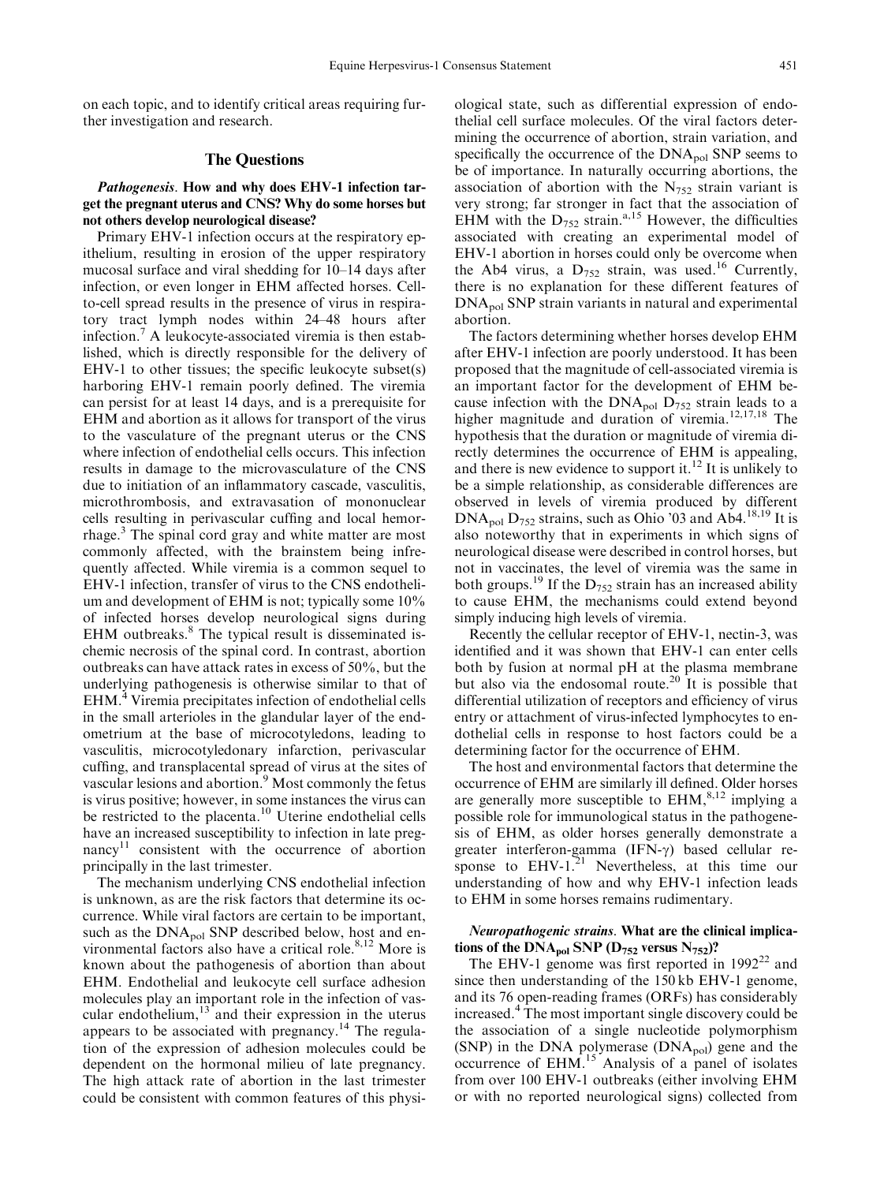on each topic, and to identify critical areas requiring further investigation and research.

#### The Questions

# Pathogenesis. How and why does EHV-1 infection target the pregnant uterus and CNS? Why do some horses but not others develop neurological disease?

Primary EHV-1 infection occurs at the respiratory epithelium, resulting in erosion of the upper respiratory mucosal surface and viral shedding for 10–14 days after infection, or even longer in EHM affected horses. Cellto-cell spread results in the presence of virus in respiratory tract lymph nodes within 24–48 hours after infection.<sup>7</sup> A leukocyte-associated viremia is then established, which is directly responsible for the delivery of EHV-1 to other tissues; the specific leukocyte subset(s) harboring EHV-1 remain poorly defined. The viremia can persist for at least 14 days, and is a prerequisite for EHM and abortion as it allows for transport of the virus to the vasculature of the pregnant uterus or the CNS where infection of endothelial cells occurs. This infection results in damage to the microvasculature of the CNS due to initiation of an inflammatory cascade, vasculitis, microthrombosis, and extravasation of mononuclear cells resulting in perivascular cuffing and local hemorrhage.3 The spinal cord gray and white matter are most commonly affected, with the brainstem being infrequently affected. While viremia is a common sequel to EHV-1 infection, transfer of virus to the CNS endothelium and development of EHM is not; typically some 10% of infected horses develop neurological signs during EHM outbreaks.<sup>8</sup> The typical result is disseminated ischemic necrosis of the spinal cord. In contrast, abortion outbreaks can have attack rates in excess of 50%, but the underlying pathogenesis is otherwise similar to that of EHM.4 Viremia precipitates infection of endothelial cells in the small arterioles in the glandular layer of the endometrium at the base of microcotyledons, leading to vasculitis, microcotyledonary infarction, perivascular cuffing, and transplacental spread of virus at the sites of vascular lesions and abortion.<sup>9</sup> Most commonly the fetus is virus positive; however, in some instances the virus can be restricted to the placenta.<sup>10</sup> Uterine endothelial cells have an increased susceptibility to infection in late pregnancy $11$  consistent with the occurrence of abortion principally in the last trimester.

The mechanism underlying CNS endothelial infection is unknown, as are the risk factors that determine its occurrence. While viral factors are certain to be important, such as the  $DNA_{pol}$  SNP described below, host and environmental factors also have a critical role. $8,12$  More is known about the pathogenesis of abortion than about EHM. Endothelial and leukocyte cell surface adhesion molecules play an important role in the infection of vascular endothelium, $13$  and their expression in the uterus appears to be associated with pregnancy.<sup>14</sup> The regulation of the expression of adhesion molecules could be dependent on the hormonal milieu of late pregnancy. The high attack rate of abortion in the last trimester could be consistent with common features of this physiological state, such as differential expression of endothelial cell surface molecules. Of the viral factors determining the occurrence of abortion, strain variation, and specifically the occurrence of the  $DNA_{pol}$  SNP seems to be of importance. In naturally occurring abortions, the association of abortion with the  $N_{752}$  strain variant is very strong; far stronger in fact that the association of EHM with the  $D_{752}$  strain.<sup>a,15</sup> However, the difficulties associated with creating an experimental model of EHV-1 abortion in horses could only be overcome when the Ab4 virus, a  $D_{752}$  strain, was used.<sup>16</sup> Currently, there is no explanation for these different features of DNApol SNP strain variants in natural and experimental abortion.

The factors determining whether horses develop EHM after EHV-1 infection are poorly understood. It has been proposed that the magnitude of cell-associated viremia is an important factor for the development of EHM because infection with the  $DNA_{\text{pol}}$   $D_{752}$  strain leads to a higher magnitude and duration of viremia.<sup>12,17,18</sup> The hypothesis that the duration or magnitude of viremia directly determines the occurrence of EHM is appealing, and there is new evidence to support it.<sup>12</sup> It is unlikely to be a simple relationship, as considerable differences are observed in levels of viremia produced by different  $DNA_{pol}D_{752}$  strains, such as Ohio '03 and Ab4.<sup>18,19</sup> It is also noteworthy that in experiments in which signs of neurological disease were described in control horses, but not in vaccinates, the level of viremia was the same in both groups.<sup>19</sup> If the D<sub>752</sub> strain has an increased ability to cause EHM, the mechanisms could extend beyond simply inducing high levels of viremia.

Recently the cellular receptor of EHV-1, nectin-3, was identified and it was shown that EHV-1 can enter cells both by fusion at normal pH at the plasma membrane but also via the endosomal route.<sup>20</sup> It is possible that differential utilization of receptors and efficiency of virus entry or attachment of virus-infected lymphocytes to endothelial cells in response to host factors could be a determining factor for the occurrence of EHM.

The host and environmental factors that determine the occurrence of EHM are similarly ill defined. Older horses are generally more susceptible to  $EHM$ ,<sup>8,12</sup> implying a possible role for immunological status in the pathogenesis of EHM, as older horses generally demonstrate a greater interferon-gamma (IFN- $\gamma$ ) based cellular response to  $EHV-1.<sup>21</sup>$  Nevertheless, at this time our understanding of how and why EHV-1 infection leads to EHM in some horses remains rudimentary.

# Neuropathogenic strains. What are the clinical implications of the  $DNA_{pol}$  SNP ( $D_{752}$  versus N<sub>752</sub>)?

The EHV-1 genome was first reported in  $1992^{22}$  and since then understanding of the 150 kb EHV-1 genome, and its 76 open-reading frames (ORFs) has considerably increased.<sup>4</sup> The most important single discovery could be the association of a single nucleotide polymorphism (SNP) in the DNA polymerase  $(DNA_{pol})$  gene and the occurrence of EHM.<sup>15</sup> Analysis of a panel of isolates from over 100 EHV-1 outbreaks (either involving EHM or with no reported neurological signs) collected from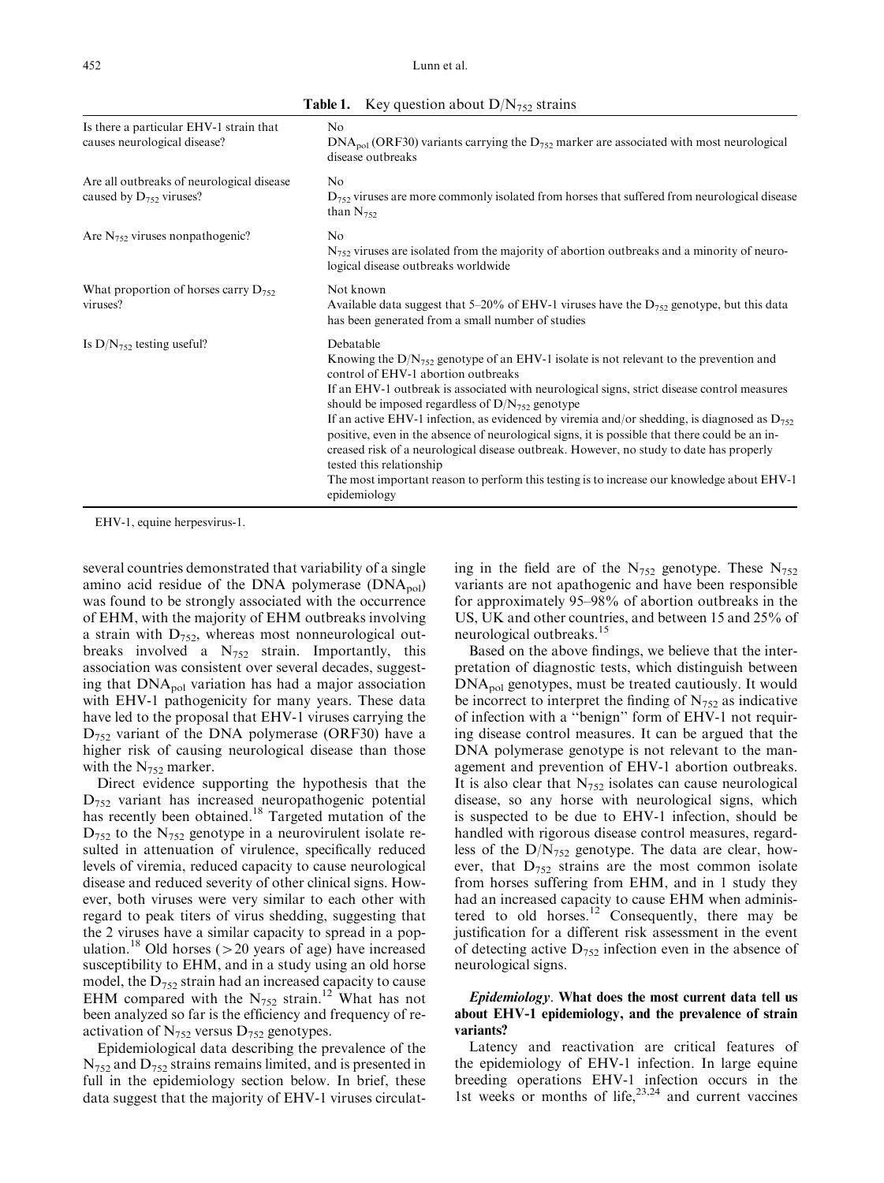|  | <b>Table 1.</b> Key question about $D/N_{752}$ strains |  |  |
|--|--------------------------------------------------------|--|--|
|--|--------------------------------------------------------|--|--|

| Is there a particular EHV-1 strain that<br>causes neurological disease?   | N <sub>0</sub><br>$DNA_{pol}$ (ORF30) variants carrying the $D_{752}$ marker are associated with most neurological<br>disease outbreaks                                                                                                                                                                                                                                                                                                                                                                                                                                                                                                                                                                                                          |
|---------------------------------------------------------------------------|--------------------------------------------------------------------------------------------------------------------------------------------------------------------------------------------------------------------------------------------------------------------------------------------------------------------------------------------------------------------------------------------------------------------------------------------------------------------------------------------------------------------------------------------------------------------------------------------------------------------------------------------------------------------------------------------------------------------------------------------------|
| Are all outbreaks of neurological disease<br>caused by $D_{752}$ viruses? | No<br>$D_{752}$ viruses are more commonly isolated from horses that suffered from neurological disease<br>than $N_{752}$                                                                                                                                                                                                                                                                                                                                                                                                                                                                                                                                                                                                                         |
| Are $N_{752}$ viruses nonpathogenic?                                      | N <sub>0</sub><br>$N752$ viruses are isolated from the majority of abortion outbreaks and a minority of neuro-<br>logical disease outbreaks worldwide                                                                                                                                                                                                                                                                                                                                                                                                                                                                                                                                                                                            |
| What proportion of horses carry $D_{752}$<br>viruses?                     | Not known<br>Available data suggest that 5–20% of EHV-1 viruses have the $D_{752}$ genotype, but this data<br>has been generated from a small number of studies                                                                                                                                                                                                                                                                                                                                                                                                                                                                                                                                                                                  |
| Is $D/N_{752}$ testing useful?                                            | Debatable<br>Knowing the $D/N_{752}$ genotype of an EHV-1 isolate is not relevant to the prevention and<br>control of EHV-1 abortion outbreaks<br>If an EHV-1 outbreak is associated with neurological signs, strict disease control measures<br>should be imposed regardless of $D/N_{752}$ genotype<br>If an active EHV-1 infection, as evidenced by viremia and/or shedding, is diagnosed as $D_{752}$<br>positive, even in the absence of neurological signs, it is possible that there could be an in-<br>creased risk of a neurological disease outbreak. However, no study to date has properly<br>tested this relationship<br>The most important reason to perform this testing is to increase our knowledge about EHV-1<br>epidemiology |

EHV-1, equine herpesvirus-1.

several countries demonstrated that variability of a single amino acid residue of the DNA polymerase  $(DNA_{pol})$ was found to be strongly associated with the occurrence of EHM, with the majority of EHM outbreaks involving a strain with  $D_{752}$ , whereas most nonneurological outbreaks involved a  $N_{752}$  strain. Importantly, this association was consistent over several decades, suggesting that  $DNA<sub>pol</sub>$  variation has had a major association with EHV-1 pathogenicity for many years. These data have led to the proposal that EHV-1 viruses carrying the  $D_{752}$  variant of the DNA polymerase (ORF30) have a higher risk of causing neurological disease than those with the  $N_{752}$  marker.

Direct evidence supporting the hypothesis that the D752 variant has increased neuropathogenic potential has recently been obtained.<sup>18</sup> Targeted mutation of the  $D_{752}$  to the N<sub>752</sub> genotype in a neurovirulent isolate resulted in attenuation of virulence, specifically reduced levels of viremia, reduced capacity to cause neurological disease and reduced severity of other clinical signs. However, both viruses were very similar to each other with regard to peak titers of virus shedding, suggesting that the 2 viruses have a similar capacity to spread in a population.<sup>18</sup> Old horses ( $>$  20 years of age) have increased susceptibility to EHM, and in a study using an old horse model, the  $D_{752}$  strain had an increased capacity to cause EHM compared with the  $N_{752}$  strain.<sup>12</sup> What has not been analyzed so far is the efficiency and frequency of reactivation of  $N_{752}$  versus  $D_{752}$  genotypes.

Epidemiological data describing the prevalence of the  $N_{752}$  and  $D_{752}$  strains remains limited, and is presented in full in the epidemiology section below. In brief, these data suggest that the majority of EHV-1 viruses circulating in the field are of the  $N_{752}$  genotype. These  $N_{752}$ variants are not apathogenic and have been responsible for approximately 95–98% of abortion outbreaks in the US, UK and other countries, and between 15 and 25% of neurological outbreaks.<sup>15</sup>

Based on the above findings, we believe that the interpretation of diagnostic tests, which distinguish between DNApol genotypes, must be treated cautiously. It would be incorrect to interpret the finding of  $N_{752}$  as indicative of infection with a ''benign'' form of EHV-1 not requiring disease control measures. It can be argued that the DNA polymerase genotype is not relevant to the management and prevention of EHV-1 abortion outbreaks. It is also clear that  $N_{752}$  isolates can cause neurological disease, so any horse with neurological signs, which is suspected to be due to EHV-1 infection, should be handled with rigorous disease control measures, regardless of the  $D/N_{752}$  genotype. The data are clear, however, that  $D_{752}$  strains are the most common isolate from horses suffering from EHM, and in 1 study they had an increased capacity to cause EHM when administered to old horses.<sup>12</sup> Consequently, there may be justification for a different risk assessment in the event of detecting active  $D_{752}$  infection even in the absence of neurological signs.

## Epidemiology. What does the most current data tell us about EHV-1 epidemiology, and the prevalence of strain variants?

Latency and reactivation are critical features of the epidemiology of EHV-1 infection. In large equine breeding operations EHV-1 infection occurs in the 1st weeks or months of life, $23,24$  and current vaccines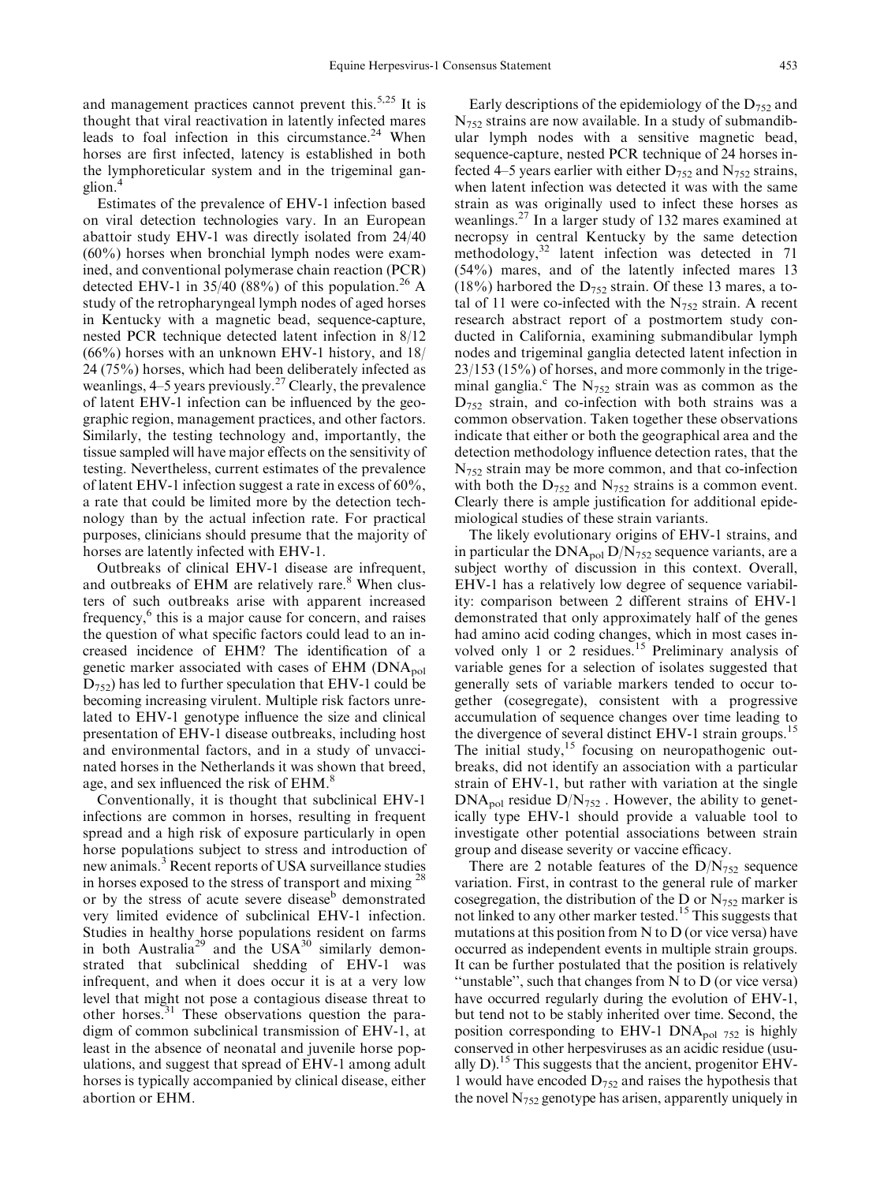and management practices cannot prevent this.<sup>5,25</sup> It is thought that viral reactivation in latently infected mares leads to foal infection in this circumstance. $24$  When horses are first infected, latency is established in both the lymphoreticular system and in the trigeminal ganglion.4

Estimates of the prevalence of EHV-1 infection based on viral detection technologies vary. In an European abattoir study EHV-1 was directly isolated from 24/40 (60%) horses when bronchial lymph nodes were examined, and conventional polymerase chain reaction (PCR) detected EHV-1 in  $35/40$  (88%) of this population.<sup>26</sup> A study of the retropharyngeal lymph nodes of aged horses in Kentucky with a magnetic bead, sequence-capture, nested PCR technique detected latent infection in 8/12  $(66\%)$  horses with an unknown EHV-1 history, and 18/ 24 (75%) horses, which had been deliberately infected as weanlings,  $4-5$  years previously.<sup>27</sup> Clearly, the prevalence of latent EHV-1 infection can be influenced by the geographic region, management practices, and other factors. Similarly, the testing technology and, importantly, the tissue sampled will have major effects on the sensitivity of testing. Nevertheless, current estimates of the prevalence of latent EHV-1 infection suggest a rate in excess of 60%, a rate that could be limited more by the detection technology than by the actual infection rate. For practical purposes, clinicians should presume that the majority of horses are latently infected with EHV-1.

Outbreaks of clinical EHV-1 disease are infrequent, and outbreaks of EHM are relatively rare.<sup>8</sup> When clusters of such outbreaks arise with apparent increased frequency,<sup>6</sup> this is a major cause for concern, and raises the question of what specific factors could lead to an increased incidence of EHM? The identification of a genetic marker associated with cases of EHM (DNA<sub>pol</sub>  $D_{752}$ ) has led to further speculation that EHV-1 could be becoming increasing virulent. Multiple risk factors unrelated to EHV-1 genotype influence the size and clinical presentation of EHV-1 disease outbreaks, including host and environmental factors, and in a study of unvaccinated horses in the Netherlands it was shown that breed, age, and sex influenced the risk of EHM.<sup>8</sup>

Conventionally, it is thought that subclinical EHV-1 infections are common in horses, resulting in frequent spread and a high risk of exposure particularly in open horse populations subject to stress and introduction of new animals.<sup>3</sup> Recent reports of USA surveillance studies in horses exposed to the stress of transport and mixing  $^{28}$ or by the stress of acute severe disease<sup>b</sup> demonstrated very limited evidence of subclinical EHV-1 infection. Studies in healthy horse populations resident on farms in both Australia<sup>29</sup> and the USA<sup>30</sup> similarly demonstrated that subclinical shedding of EHV-1 was infrequent, and when it does occur it is at a very low level that might not pose a contagious disease threat to other horses.<sup>31</sup> These observations question the paradigm of common subclinical transmission of EHV-1, at least in the absence of neonatal and juvenile horse populations, and suggest that spread of EHV-1 among adult horses is typically accompanied by clinical disease, either abortion or EHM.

Early descriptions of the epidemiology of the  $D_{752}$  and  $N<sub>752</sub>$  strains are now available. In a study of submandibular lymph nodes with a sensitive magnetic bead, sequence-capture, nested PCR technique of 24 horses infected 4–5 years earlier with either  $D_{752}$  and  $N_{752}$  strains, when latent infection was detected it was with the same strain as was originally used to infect these horses as weanlings.<sup>27</sup> In a larger study of 132 mares examined at necropsy in central Kentucky by the same detection methodology,<sup>32</sup> latent infection was detected in 71 (54%) mares, and of the latently infected mares 13 (18%) harbored the  $D_{752}$  strain. Of these 13 mares, a total of 11 were co-infected with the  $N_{752}$  strain. A recent research abstract report of a postmortem study conducted in California, examining submandibular lymph nodes and trigeminal ganglia detected latent infection in 23/153 (15%) of horses, and more commonly in the trigeminal ganglia.<sup>c</sup> The  $N_{752}$  strain was as common as the  $D_{752}$  strain, and co-infection with both strains was a common observation. Taken together these observations indicate that either or both the geographical area and the detection methodology influence detection rates, that the  $N<sub>752</sub>$  strain may be more common, and that co-infection with both the  $D_{752}$  and  $N_{752}$  strains is a common event. Clearly there is ample justification for additional epidemiological studies of these strain variants.

The likely evolutionary origins of EHV-1 strains, and in particular the  $DNA_{pol}D/N_{752}$  sequence variants, are a subject worthy of discussion in this context. Overall, EHV-1 has a relatively low degree of sequence variability: comparison between 2 different strains of EHV-1 demonstrated that only approximately half of the genes had amino acid coding changes, which in most cases involved only 1 or 2 residues.<sup>15</sup> Preliminary analysis of variable genes for a selection of isolates suggested that generally sets of variable markers tended to occur together (cosegregate), consistent with a progressive accumulation of sequence changes over time leading to the divergence of several distinct EHV-1 strain groups.<sup>15</sup> The initial study, $15$  focusing on neuropathogenic outbreaks, did not identify an association with a particular strain of EHV-1, but rather with variation at the single  $DNA_{pol}$  residue  $D/N_{752}$ . However, the ability to genetically type EHV-1 should provide a valuable tool to investigate other potential associations between strain group and disease severity or vaccine efficacy.

There are 2 notable features of the  $D/N_{752}$  sequence variation. First, in contrast to the general rule of marker cosegregation, the distribution of the D or  $N_{752}$  marker is not linked to any other marker tested.<sup>15</sup> This suggests that mutations at this position from N to D (or vice versa) have occurred as independent events in multiple strain groups. It can be further postulated that the position is relatively ''unstable'', such that changes from N to D (or vice versa) have occurred regularly during the evolution of EHV-1, but tend not to be stably inherited over time. Second, the position corresponding to EHV-1 DNA<sub>pol 752</sub> is highly conserved in other herpesviruses as an acidic residue (usually D).15 This suggests that the ancient, progenitor EHV-1 would have encoded  $D_{752}$  and raises the hypothesis that the novel  $N_{752}$  genotype has arisen, apparently uniquely in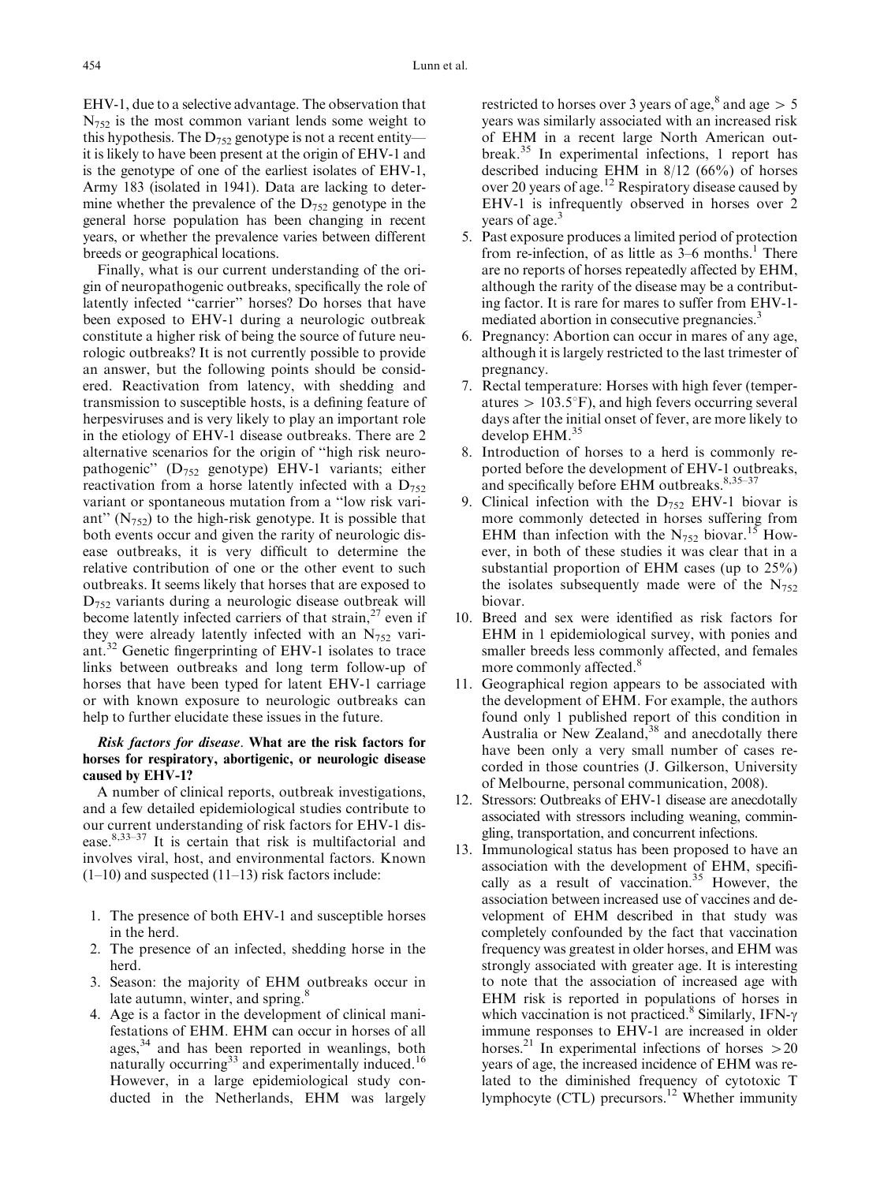EHV-1, due to a selective advantage. The observation that  $N_{752}$  is the most common variant lends some weight to this hypothesis. The  $D_{752}$  genotype is not a recent entity it is likely to have been present at the origin of EHV-1 and is the genotype of one of the earliest isolates of EHV-1, Army 183 (isolated in 1941). Data are lacking to determine whether the prevalence of the  $D_{752}$  genotype in the general horse population has been changing in recent years, or whether the prevalence varies between different breeds or geographical locations.

Finally, what is our current understanding of the origin of neuropathogenic outbreaks, specifically the role of latently infected ''carrier'' horses? Do horses that have been exposed to EHV-1 during a neurologic outbreak constitute a higher risk of being the source of future neurologic outbreaks? It is not currently possible to provide an answer, but the following points should be considered. Reactivation from latency, with shedding and transmission to susceptible hosts, is a defining feature of herpesviruses and is very likely to play an important role in the etiology of EHV-1 disease outbreaks. There are 2 alternative scenarios for the origin of ''high risk neuropathogenic" ( $D_{752}$  genotype) EHV-1 variants; either reactivation from a horse latently infected with a  $D_{752}$ variant or spontaneous mutation from a ''low risk variant"  $(N_{752})$  to the high-risk genotype. It is possible that both events occur and given the rarity of neurologic disease outbreaks, it is very difficult to determine the relative contribution of one or the other event to such outbreaks. It seems likely that horses that are exposed to D752 variants during a neurologic disease outbreak will become latently infected carriers of that strain, $27$  even if they were already latently infected with an  $N_{752}$  variant.<sup>32</sup> Genetic fingerprinting of EHV-1 isolates to trace links between outbreaks and long term follow-up of horses that have been typed for latent EHV-1 carriage or with known exposure to neurologic outbreaks can help to further elucidate these issues in the future.

# Risk factors for disease. What are the risk factors for horses for respiratory, abortigenic, or neurologic disease caused by EHV-1?

A number of clinical reports, outbreak investigations, and a few detailed epidemiological studies contribute to our current understanding of risk factors for EHV-1 disease.8,33–37 It is certain that risk is multifactorial and involves viral, host, and environmental factors. Known  $(1-10)$  and suspected  $(11-13)$  risk factors include:

- 1. The presence of both EHV-1 and susceptible horses in the herd.
- 2. The presence of an infected, shedding horse in the herd.
- 3. Season: the majority of EHM outbreaks occur in late autumn, winter, and spring.<sup>8</sup>
- 4. Age is a factor in the development of clinical manifestations of EHM. EHM can occur in horses of all ages,34 and has been reported in weanlings, both naturally occurring<sup>33</sup> and experimentally induced.<sup>16</sup> However, in a large epidemiological study conducted in the Netherlands, EHM was largely

restricted to horses over 3 years of age,<sup>8</sup> and age  $> 5$ years was similarly associated with an increased risk of EHM in a recent large North American outbreak.<sup>35</sup> In experimental infections, 1 report has described inducing EHM in 8/12 (66%) of horses over 20 years of age.<sup>12</sup> Respiratory disease caused by EHV-1 is infrequently observed in horses over 2 years of age.<sup>3</sup>

- 5. Past exposure produces a limited period of protection from re-infection, of as little as  $3-6$  months.<sup>1</sup> There are no reports of horses repeatedly affected by EHM, although the rarity of the disease may be a contributing factor. It is rare for mares to suffer from EHV-1 mediated abortion in consecutive pregnancies.<sup>3</sup>
- 6. Pregnancy: Abortion can occur in mares of any age, although it is largely restricted to the last trimester of pregnancy.
- 7. Rectal temperature: Horses with high fever (temperatures  $> 103.5$ °F), and high fevers occurring several days after the initial onset of fever, are more likely to develop EHM.<sup>35</sup>
- 8. Introduction of horses to a herd is commonly reported before the development of EHV-1 outbreaks, and specifically before EHM outbreaks.<sup>8,35-37</sup>
- 9. Clinical infection with the  $D_{752}$  EHV-1 biovar is more commonly detected in horses suffering from EHM than infection with the  $N_{752}$  biovar.<sup>15</sup> However, in both of these studies it was clear that in a substantial proportion of EHM cases (up to 25%) the isolates subsequently made were of the  $N_{752}$ biovar.
- 10. Breed and sex were identified as risk factors for EHM in 1 epidemiological survey, with ponies and smaller breeds less commonly affected, and females more commonly affected.<sup>8</sup>
- 11. Geographical region appears to be associated with the development of EHM. For example, the authors found only 1 published report of this condition in Australia or New Zealand, $38$  and anecdotally there have been only a very small number of cases recorded in those countries (J. Gilkerson, University of Melbourne, personal communication, 2008).
- 12. Stressors: Outbreaks of EHV-1 disease are anecdotally associated with stressors including weaning, commingling, transportation, and concurrent infections.
- 13. Immunological status has been proposed to have an association with the development of EHM, specifically as a result of vaccination.<sup>35</sup> However, the association between increased use of vaccines and development of EHM described in that study was completely confounded by the fact that vaccination frequency was greatest in older horses, and EHM was strongly associated with greater age. It is interesting to note that the association of increased age with EHM risk is reported in populations of horses in which vaccination is not practiced.<sup>8</sup> Similarly, IFN- $\gamma$ immune responses to EHV-1 are increased in older horses.<sup>21</sup> In experimental infections of horses  $>20$ years of age, the increased incidence of EHM was related to the diminished frequency of cytotoxic T lymphocyte (CTL) precursors.<sup>12</sup> Whether immunity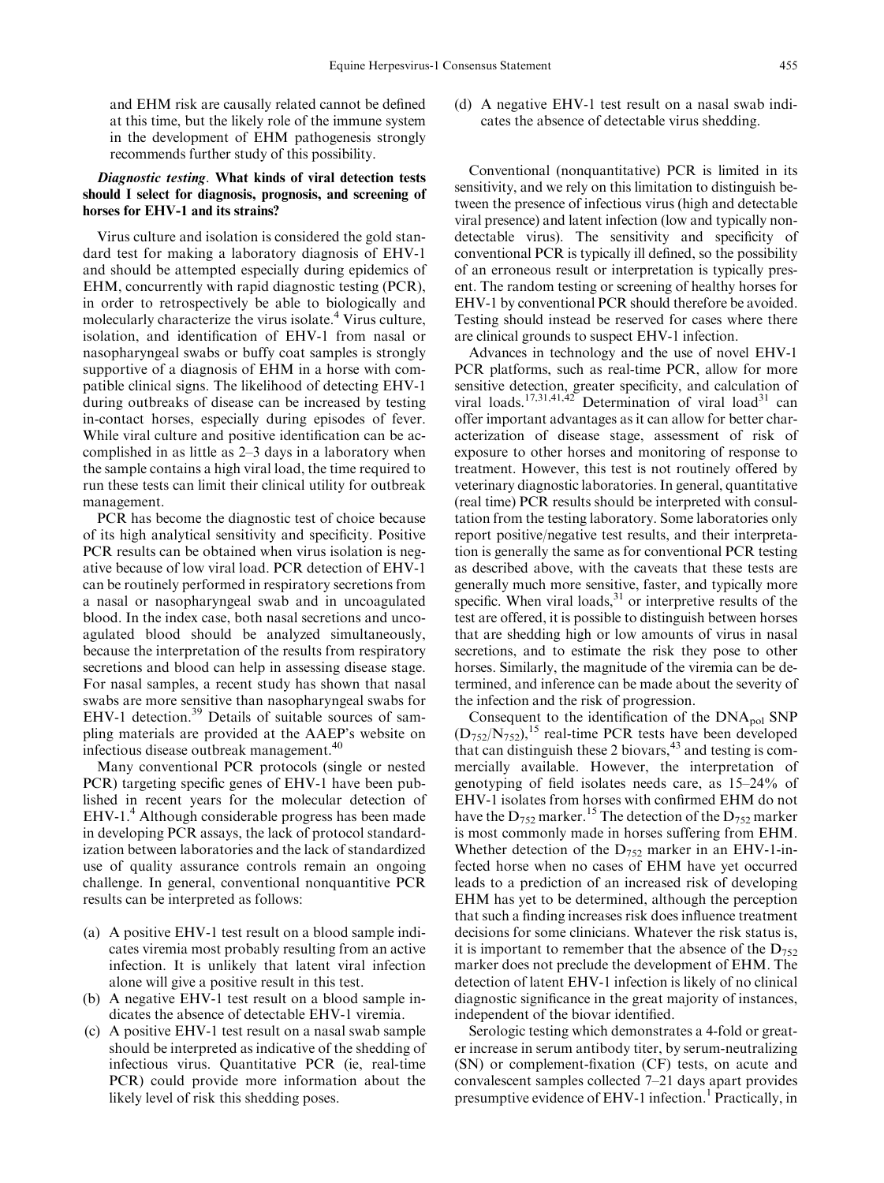and EHM risk are causally related cannot be defined at this time, but the likely role of the immune system in the development of EHM pathogenesis strongly recommends further study of this possibility.

# Diagnostic testing. What kinds of viral detection tests should I select for diagnosis, prognosis, and screening of horses for EHV-1 and its strains?

Virus culture and isolation is considered the gold standard test for making a laboratory diagnosis of EHV-1 and should be attempted especially during epidemics of EHM, concurrently with rapid diagnostic testing (PCR), in order to retrospectively be able to biologically and molecularly characterize the virus isolate.<sup>4</sup> Virus culture, isolation, and identification of EHV-1 from nasal or nasopharyngeal swabs or buffy coat samples is strongly supportive of a diagnosis of EHM in a horse with compatible clinical signs. The likelihood of detecting EHV-1 during outbreaks of disease can be increased by testing in-contact horses, especially during episodes of fever. While viral culture and positive identification can be accomplished in as little as 2–3 days in a laboratory when the sample contains a high viral load, the time required to run these tests can limit their clinical utility for outbreak management.

PCR has become the diagnostic test of choice because of its high analytical sensitivity and specificity. Positive PCR results can be obtained when virus isolation is negative because of low viral load. PCR detection of EHV-1 can be routinely performed in respiratory secretions from a nasal or nasopharyngeal swab and in uncoagulated blood. In the index case, both nasal secretions and uncoagulated blood should be analyzed simultaneously, because the interpretation of the results from respiratory secretions and blood can help in assessing disease stage. For nasal samples, a recent study has shown that nasal swabs are more sensitive than nasopharyngeal swabs for EHV-1 detection.<sup>39</sup> Details of suitable sources of sampling materials are provided at the AAEP's website on infectious disease outbreak management.<sup>40</sup>

Many conventional PCR protocols (single or nested PCR) targeting specific genes of EHV-1 have been published in recent years for the molecular detection of EHV-1.<sup>4</sup> Although considerable progress has been made in developing PCR assays, the lack of protocol standardization between laboratories and the lack of standardized use of quality assurance controls remain an ongoing challenge. In general, conventional nonquantitive PCR results can be interpreted as follows:

- (a) A positive EHV-1 test result on a blood sample indicates viremia most probably resulting from an active infection. It is unlikely that latent viral infection alone will give a positive result in this test.
- (b) A negative EHV-1 test result on a blood sample indicates the absence of detectable EHV-1 viremia.
- (c) A positive EHV-1 test result on a nasal swab sample should be interpreted as indicative of the shedding of infectious virus. Quantitative PCR (ie, real-time PCR) could provide more information about the likely level of risk this shedding poses.

(d) A negative EHV-1 test result on a nasal swab indicates the absence of detectable virus shedding.

Conventional (nonquantitative) PCR is limited in its sensitivity, and we rely on this limitation to distinguish between the presence of infectious virus (high and detectable viral presence) and latent infection (low and typically nondetectable virus). The sensitivity and specificity of conventional PCR is typically ill defined, so the possibility of an erroneous result or interpretation is typically present. The random testing or screening of healthy horses for EHV-1 by conventional PCR should therefore be avoided. Testing should instead be reserved for cases where there are clinical grounds to suspect EHV-1 infection.

Advances in technology and the use of novel EHV-1 PCR platforms, such as real-time PCR, allow for more sensitive detection, greater specificity, and calculation of viral loads.<sup>17,31,41,42</sup> Determination of viral load<sup>31</sup> can offer important advantages as it can allow for better characterization of disease stage, assessment of risk of exposure to other horses and monitoring of response to treatment. However, this test is not routinely offered by veterinary diagnostic laboratories. In general, quantitative (real time) PCR results should be interpreted with consultation from the testing laboratory. Some laboratories only report positive/negative test results, and their interpretation is generally the same as for conventional PCR testing as described above, with the caveats that these tests are generally much more sensitive, faster, and typically more specific. When viral loads, $31$  or interpretive results of the test are offered, it is possible to distinguish between horses that are shedding high or low amounts of virus in nasal secretions, and to estimate the risk they pose to other horses. Similarly, the magnitude of the viremia can be determined, and inference can be made about the severity of the infection and the risk of progression.

Consequent to the identification of the  $DNA<sub>pol</sub>$  SNP  $(D_{752}/N_{752})$ ,<sup>15</sup> real-time PCR tests have been developed that can distinguish these 2 biovars, $43$  and testing is commercially available. However, the interpretation of genotyping of field isolates needs care, as 15–24% of EHV-1 isolates from horses with confirmed EHM do not have the  $D_{752}$  marker.<sup>15</sup> The detection of the  $D_{752}$  marker is most commonly made in horses suffering from EHM. Whether detection of the  $D_{752}$  marker in an EHV-1-infected horse when no cases of EHM have yet occurred leads to a prediction of an increased risk of developing EHM has yet to be determined, although the perception that such a finding increases risk does influence treatment decisions for some clinicians. Whatever the risk status is, it is important to remember that the absence of the  $D_{752}$ marker does not preclude the development of EHM. The detection of latent EHV-1 infection is likely of no clinical diagnostic significance in the great majority of instances, independent of the biovar identified.

Serologic testing which demonstrates a 4-fold or greater increase in serum antibody titer, by serum-neutralizing (SN) or complement-fixation (CF) tests, on acute and convalescent samples collected 7–21 days apart provides presumptive evidence of EHV-1 infection.<sup>1</sup> Practically, in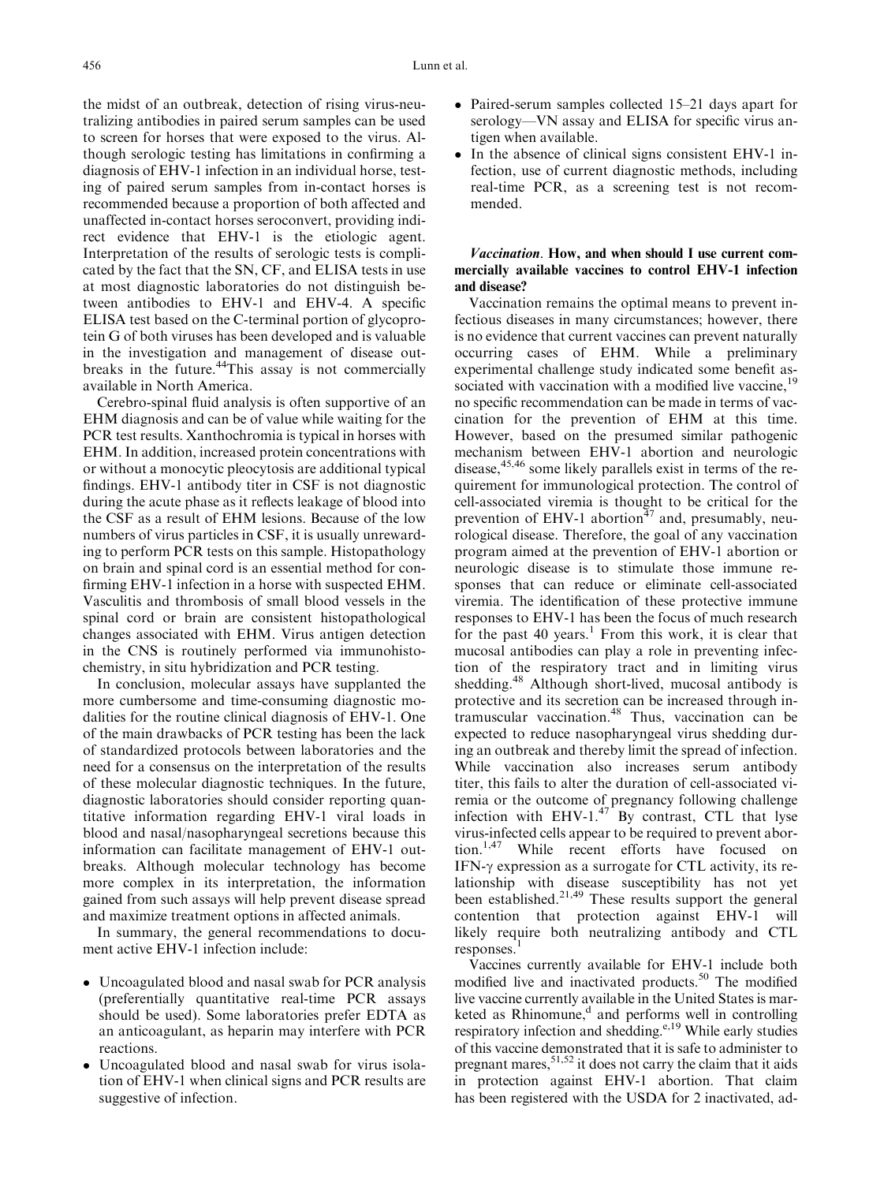the midst of an outbreak, detection of rising virus-neutralizing antibodies in paired serum samples can be used to screen for horses that were exposed to the virus. Although serologic testing has limitations in confirming a diagnosis of EHV-1 infection in an individual horse, testing of paired serum samples from in-contact horses is recommended because a proportion of both affected and unaffected in-contact horses seroconvert, providing indirect evidence that EHV-1 is the etiologic agent. Interpretation of the results of serologic tests is complicated by the fact that the SN, CF, and ELISA tests in use at most diagnostic laboratories do not distinguish between antibodies to EHV-1 and EHV-4. A specific ELISA test based on the C-terminal portion of glycoprotein G of both viruses has been developed and is valuable in the investigation and management of disease outbreaks in the future.<sup>44</sup>This assay is not commercially available in North America.

Cerebro-spinal fluid analysis is often supportive of an EHM diagnosis and can be of value while waiting for the PCR test results. Xanthochromia is typical in horses with EHM. In addition, increased protein concentrations with or without a monocytic pleocytosis are additional typical findings. EHV-1 antibody titer in CSF is not diagnostic during the acute phase as it reflects leakage of blood into the CSF as a result of EHM lesions. Because of the low numbers of virus particles in CSF, it is usually unrewarding to perform PCR tests on this sample. Histopathology on brain and spinal cord is an essential method for confirming EHV-1 infection in a horse with suspected EHM. Vasculitis and thrombosis of small blood vessels in the spinal cord or brain are consistent histopathological changes associated with EHM. Virus antigen detection in the CNS is routinely performed via immunohistochemistry, in situ hybridization and PCR testing.

In conclusion, molecular assays have supplanted the more cumbersome and time-consuming diagnostic modalities for the routine clinical diagnosis of EHV-1. One of the main drawbacks of PCR testing has been the lack of standardized protocols between laboratories and the need for a consensus on the interpretation of the results of these molecular diagnostic techniques. In the future, diagnostic laboratories should consider reporting quantitative information regarding EHV-1 viral loads in blood and nasal/nasopharyngeal secretions because this information can facilitate management of EHV-1 outbreaks. Although molecular technology has become more complex in its interpretation, the information gained from such assays will help prevent disease spread and maximize treatment options in affected animals.

In summary, the general recommendations to document active EHV-1 infection include:

- Uncoagulated blood and nasal swab for PCR analysis (preferentially quantitative real-time PCR assays should be used). Some laboratories prefer EDTA as an anticoagulant, as heparin may interfere with PCR reactions.
- Uncoagulated blood and nasal swab for virus isolation of EHV-1 when clinical signs and PCR results are suggestive of infection.
- Paired-serum samples collected 15–21 days apart for serology—VN assay and ELISA for specific virus antigen when available.
- In the absence of clinical signs consistent EHV-1 infection, use of current diagnostic methods, including real-time PCR, as a screening test is not recommended.

# Vaccination. How, and when should I use current commercially available vaccines to control EHV-1 infection and disease?

Vaccination remains the optimal means to prevent infectious diseases in many circumstances; however, there is no evidence that current vaccines can prevent naturally occurring cases of EHM. While a preliminary experimental challenge study indicated some benefit associated with vaccination with a modified live vaccine,<sup>19</sup> no specific recommendation can be made in terms of vaccination for the prevention of EHM at this time. However, based on the presumed similar pathogenic mechanism between EHV-1 abortion and neurologic disease,<sup>45,46</sup> some likely parallels exist in terms of the requirement for immunological protection. The control of cell-associated viremia is thought to be critical for the prevention of EHV-1 abortion<sup> $47$ </sup> and, presumably, neurological disease. Therefore, the goal of any vaccination program aimed at the prevention of EHV-1 abortion or neurologic disease is to stimulate those immune responses that can reduce or eliminate cell-associated viremia. The identification of these protective immune responses to EHV-1 has been the focus of much research for the past 40 years.<sup>1</sup> From this work, it is clear that mucosal antibodies can play a role in preventing infection of the respiratory tract and in limiting virus shedding.<sup>48</sup> Although short-lived, mucosal antibody is protective and its secretion can be increased through intramuscular vaccination.<sup>48</sup> Thus, vaccination can be expected to reduce nasopharyngeal virus shedding during an outbreak and thereby limit the spread of infection. While vaccination also increases serum antibody titer, this fails to alter the duration of cell-associated viremia or the outcome of pregnancy following challenge infection with EHV-1. $47$  By contrast, CTL that lyse virus-infected cells appear to be required to prevent abortion.1,47 While recent efforts have focused on IFN- $\gamma$  expression as a surrogate for CTL activity, its relationship with disease susceptibility has not yet been established. $2^{1,49}$  These results support the general contention that protection against EHV-1 will likely require both neutralizing antibody and CTL responses.<sup>1</sup>

Vaccines currently available for EHV-1 include both modified live and inactivated products.<sup>50</sup> The modified live vaccine currently available in the United States is marketed as Rhinomune, $d$  and performs well in controlling respiratory infection and shedding.<sup>e,19</sup> While early studies of this vaccine demonstrated that it is safe to administer to pregnant mares,  $51,52$  it does not carry the claim that it aids in protection against EHV-1 abortion. That claim has been registered with the USDA for 2 inactivated, ad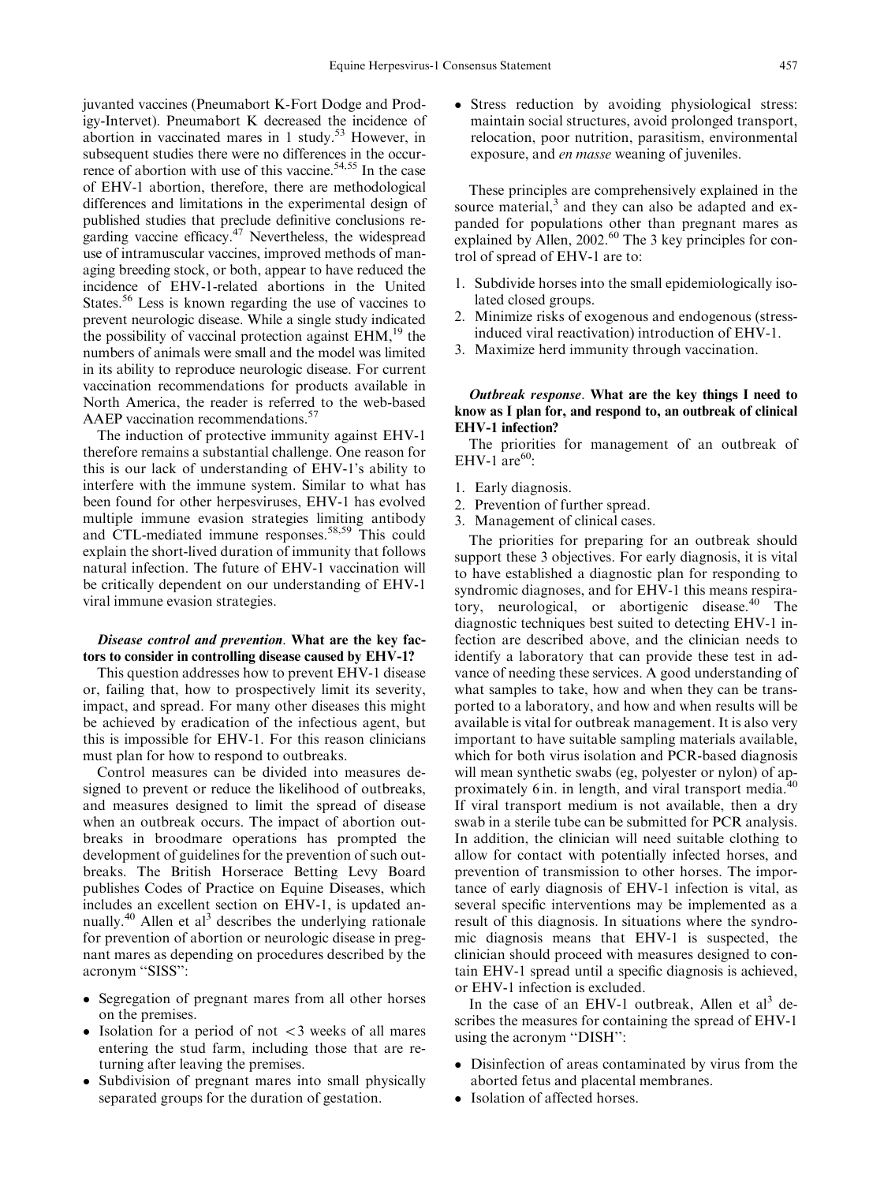juvanted vaccines (Pneumabort K-Fort Dodge and Prodigy-Intervet). Pneumabort K decreased the incidence of abortion in vaccinated mares in 1 study.<sup>53</sup> However, in subsequent studies there were no differences in the occurrence of abortion with use of this vaccine.<sup>54,55</sup> In the case of EHV-1 abortion, therefore, there are methodological differences and limitations in the experimental design of published studies that preclude definitive conclusions regarding vaccine efficacy.<sup>47</sup> Nevertheless, the widespread use of intramuscular vaccines, improved methods of managing breeding stock, or both, appear to have reduced the incidence of EHV-1-related abortions in the United States.<sup>56</sup> Less is known regarding the use of vaccines to prevent neurologic disease. While a single study indicated the possibility of vaccinal protection against  $EHM<sub>1</sub><sup>19</sup>$  the numbers of animals were small and the model was limited in its ability to reproduce neurologic disease. For current vaccination recommendations for products available in North America, the reader is referred to the web-based AAEP vaccination recommendations.<sup>5</sup>

The induction of protective immunity against EHV-1 therefore remains a substantial challenge. One reason for this is our lack of understanding of EHV-1's ability to interfere with the immune system. Similar to what has been found for other herpesviruses, EHV-1 has evolved multiple immune evasion strategies limiting antibody and CTL-mediated immune responses.<sup>58,59</sup> This could explain the short-lived duration of immunity that follows natural infection. The future of EHV-1 vaccination will be critically dependent on our understanding of EHV-1 viral immune evasion strategies.

#### Disease control and prevention. What are the key factors to consider in controlling disease caused by EHV-1?

This question addresses how to prevent EHV-1 disease or, failing that, how to prospectively limit its severity, impact, and spread. For many other diseases this might be achieved by eradication of the infectious agent, but this is impossible for EHV-1. For this reason clinicians must plan for how to respond to outbreaks.

Control measures can be divided into measures designed to prevent or reduce the likelihood of outbreaks, and measures designed to limit the spread of disease when an outbreak occurs. The impact of abortion outbreaks in broodmare operations has prompted the development of guidelines for the prevention of such outbreaks. The British Horserace Betting Levy Board publishes Codes of Practice on Equine Diseases, which includes an excellent section on EHV-1, is updated annually.<sup>40</sup> Allen et al<sup>3</sup> describes the underlying rationale for prevention of abortion or neurologic disease in pregnant mares as depending on procedures described by the acronym ''SISS'':

- Segregation of pregnant mares from all other horses on the premises.
- Isolation for a period of not  $<$  3 weeks of all mares entering the stud farm, including those that are returning after leaving the premises.
- Subdivision of pregnant mares into small physically separated groups for the duration of gestation.

- Stress reduction by avoiding physiological stress: maintain social structures, avoid prolonged transport, relocation, poor nutrition, parasitism, environmental exposure, and *en masse* weaning of juveniles.

These principles are comprehensively explained in the source material, $3$  and they can also be adapted and expanded for populations other than pregnant mares as explained by Allen,  $2002<sup>60</sup>$  The 3 key principles for control of spread of EHV-1 are to:

- 1. Subdivide horses into the small epidemiologically isolated closed groups.
- 2. Minimize risks of exogenous and endogenous (stressinduced viral reactivation) introduction of EHV-1.
- 3. Maximize herd immunity through vaccination.

## Outbreak response. What are the key things I need to know as I plan for, and respond to, an outbreak of clinical EHV-1 infection?

The priorities for management of an outbreak of EHV-1 are $60$ :

- 1. Early diagnosis.
- 2. Prevention of further spread.
- 3. Management of clinical cases.

The priorities for preparing for an outbreak should support these 3 objectives. For early diagnosis, it is vital to have established a diagnostic plan for responding to syndromic diagnoses, and for EHV-1 this means respiratory, neurological, or abortigenic disease.<sup>40</sup> The diagnostic techniques best suited to detecting EHV-1 infection are described above, and the clinician needs to identify a laboratory that can provide these test in advance of needing these services. A good understanding of what samples to take, how and when they can be transported to a laboratory, and how and when results will be available is vital for outbreak management. It is also very important to have suitable sampling materials available, which for both virus isolation and PCR-based diagnosis will mean synthetic swabs (eg, polyester or nylon) of approximately 6 in. in length, and viral transport media.<sup>4</sup> If viral transport medium is not available, then a dry swab in a sterile tube can be submitted for PCR analysis. In addition, the clinician will need suitable clothing to allow for contact with potentially infected horses, and prevention of transmission to other horses. The importance of early diagnosis of EHV-1 infection is vital, as several specific interventions may be implemented as a result of this diagnosis. In situations where the syndromic diagnosis means that EHV-1 is suspected, the clinician should proceed with measures designed to contain EHV-1 spread until a specific diagnosis is achieved, or EHV-1 infection is excluded.

In the case of an EHV-1 outbreak, Allen et al<sup>3</sup> describes the measures for containing the spread of EHV-1 using the acronym ''DISH'':

- Disinfection of areas contaminated by virus from the aborted fetus and placental membranes.
- Isolation of affected horses.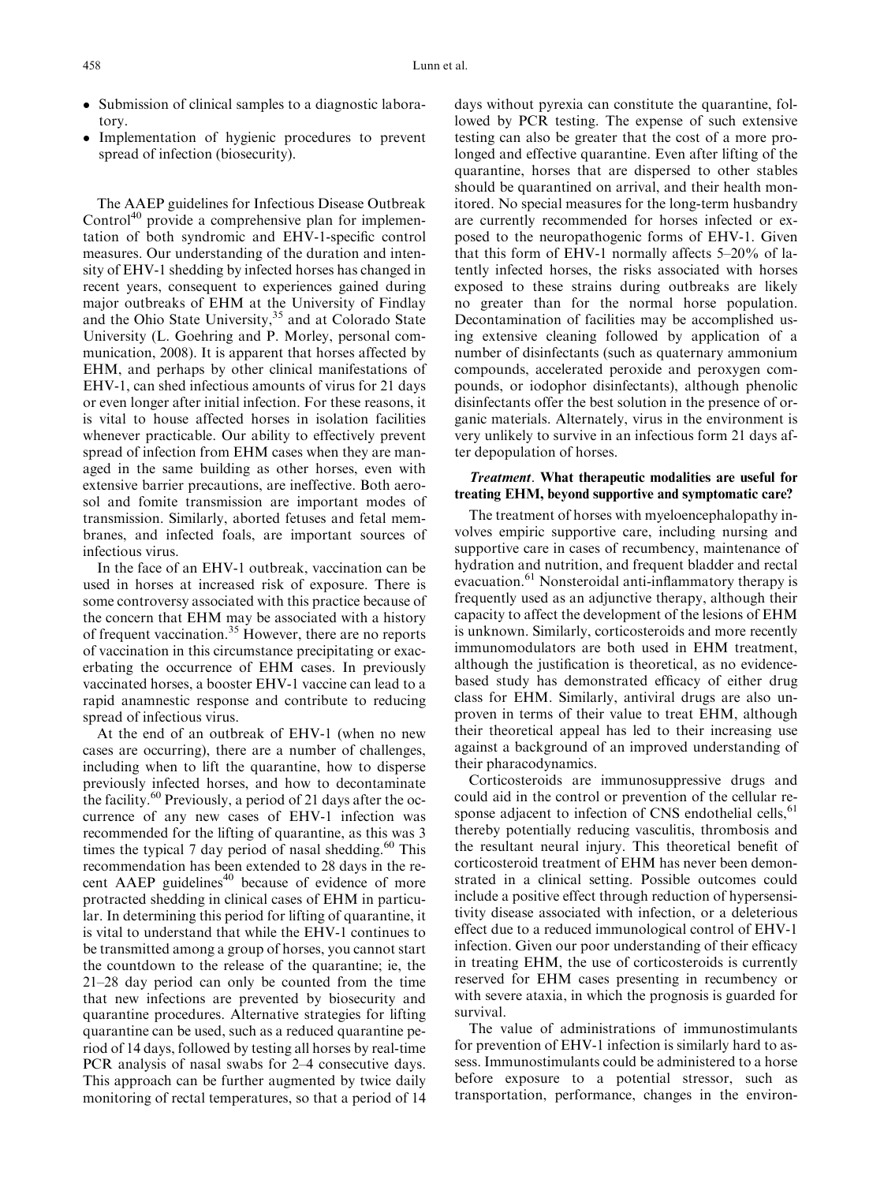- Submission of clinical samples to a diagnostic laboratory.
- Implementation of hygienic procedures to prevent spread of infection (biosecurity).

The AAEP guidelines for Infectious Disease Outbreak Control<sup>40</sup> provide a comprehensive plan for implementation of both syndromic and EHV-1-specific control measures. Our understanding of the duration and intensity of EHV-1 shedding by infected horses has changed in recent years, consequent to experiences gained during major outbreaks of EHM at the University of Findlay and the Ohio State University,<sup>35</sup> and at Colorado State University (L. Goehring and P. Morley, personal communication, 2008). It is apparent that horses affected by EHM, and perhaps by other clinical manifestations of EHV-1, can shed infectious amounts of virus for 21 days or even longer after initial infection. For these reasons, it is vital to house affected horses in isolation facilities whenever practicable. Our ability to effectively prevent spread of infection from EHM cases when they are managed in the same building as other horses, even with extensive barrier precautions, are ineffective. Both aerosol and fomite transmission are important modes of transmission. Similarly, aborted fetuses and fetal membranes, and infected foals, are important sources of infectious virus.

In the face of an EHV-1 outbreak, vaccination can be used in horses at increased risk of exposure. There is some controversy associated with this practice because of the concern that EHM may be associated with a history of frequent vaccination.<sup>35</sup> However, there are no reports of vaccination in this circumstance precipitating or exacerbating the occurrence of EHM cases. In previously vaccinated horses, a booster EHV-1 vaccine can lead to a rapid anamnestic response and contribute to reducing spread of infectious virus.

At the end of an outbreak of EHV-1 (when no new cases are occurring), there are a number of challenges, including when to lift the quarantine, how to disperse previously infected horses, and how to decontaminate the facility.<sup>60</sup> Previously, a period of 21 days after the occurrence of any new cases of EHV-1 infection was recommended for the lifting of quarantine, as this was 3 times the typical 7 day period of nasal shedding. $60$  This recommendation has been extended to 28 days in the recent AAEP guidelines $40$  because of evidence of more protracted shedding in clinical cases of EHM in particular. In determining this period for lifting of quarantine, it is vital to understand that while the EHV-1 continues to be transmitted among a group of horses, you cannot start the countdown to the release of the quarantine; ie, the 21–28 day period can only be counted from the time that new infections are prevented by biosecurity and quarantine procedures. Alternative strategies for lifting quarantine can be used, such as a reduced quarantine period of 14 days, followed by testing all horses by real-time PCR analysis of nasal swabs for 2–4 consecutive days. This approach can be further augmented by twice daily monitoring of rectal temperatures, so that a period of 14

days without pyrexia can constitute the quarantine, followed by PCR testing. The expense of such extensive testing can also be greater that the cost of a more prolonged and effective quarantine. Even after lifting of the quarantine, horses that are dispersed to other stables should be quarantined on arrival, and their health monitored. No special measures for the long-term husbandry are currently recommended for horses infected or exposed to the neuropathogenic forms of EHV-1. Given that this form of EHV-1 normally affects 5–20% of latently infected horses, the risks associated with horses exposed to these strains during outbreaks are likely no greater than for the normal horse population. Decontamination of facilities may be accomplished using extensive cleaning followed by application of a number of disinfectants (such as quaternary ammonium compounds, accelerated peroxide and peroxygen compounds, or iodophor disinfectants), although phenolic disinfectants offer the best solution in the presence of organic materials. Alternately, virus in the environment is very unlikely to survive in an infectious form 21 days after depopulation of horses.

## Treatment. What therapeutic modalities are useful for treating EHM, beyond supportive and symptomatic care?

The treatment of horses with myeloencephalopathy involves empiric supportive care, including nursing and supportive care in cases of recumbency, maintenance of hydration and nutrition, and frequent bladder and rectal evacuation.<sup>61</sup> Nonsteroidal anti-inflammatory therapy is frequently used as an adjunctive therapy, although their capacity to affect the development of the lesions of EHM is unknown. Similarly, corticosteroids and more recently immunomodulators are both used in EHM treatment, although the justification is theoretical, as no evidencebased study has demonstrated efficacy of either drug class for EHM. Similarly, antiviral drugs are also unproven in terms of their value to treat EHM, although their theoretical appeal has led to their increasing use against a background of an improved understanding of their pharacodynamics.

Corticosteroids are immunosuppressive drugs and could aid in the control or prevention of the cellular response adjacent to infection of CNS endothelial cells, 61 thereby potentially reducing vasculitis, thrombosis and the resultant neural injury. This theoretical benefit of corticosteroid treatment of EHM has never been demonstrated in a clinical setting. Possible outcomes could include a positive effect through reduction of hypersensitivity disease associated with infection, or a deleterious effect due to a reduced immunological control of EHV-1 infection. Given our poor understanding of their efficacy in treating EHM, the use of corticosteroids is currently reserved for EHM cases presenting in recumbency or with severe ataxia, in which the prognosis is guarded for survival.

The value of administrations of immunostimulants for prevention of EHV-1 infection is similarly hard to assess. Immunostimulants could be administered to a horse before exposure to a potential stressor, such as transportation, performance, changes in the environ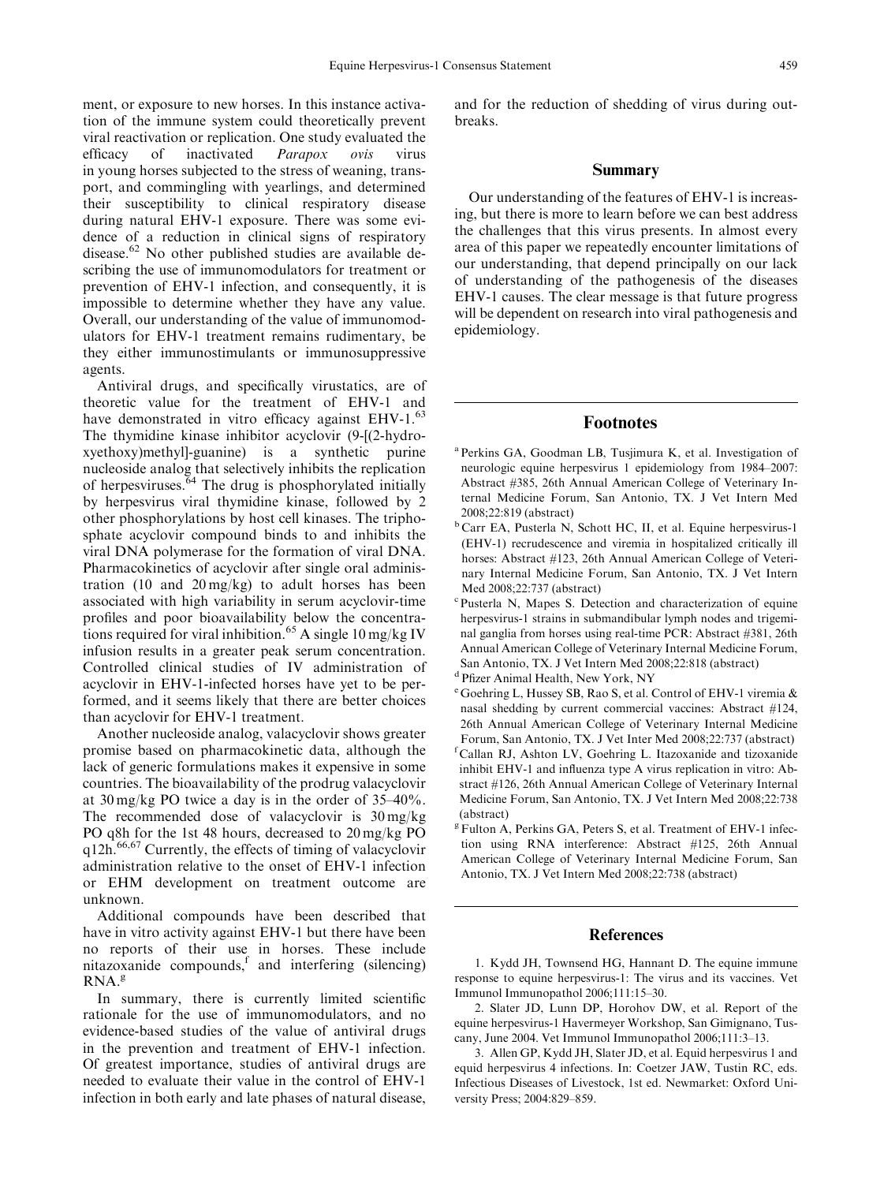ment, or exposure to new horses. In this instance activation of the immune system could theoretically prevent viral reactivation or replication. One study evaluated the efficacy of inactivated Parapox ovis virus in young horses subjected to the stress of weaning, transport, and commingling with yearlings, and determined their susceptibility to clinical respiratory disease during natural EHV-1 exposure. There was some evidence of a reduction in clinical signs of respiratory disease.<sup>62</sup> No other published studies are available describing the use of immunomodulators for treatment or prevention of EHV-1 infection, and consequently, it is impossible to determine whether they have any value. Overall, our understanding of the value of immunomodulators for EHV-1 treatment remains rudimentary, be they either immunostimulants or immunosuppressive agents.

Antiviral drugs, and specifically virustatics, are of theoretic value for the treatment of EHV-1 and have demonstrated in vitro efficacy against EHV-1.<sup>63</sup> The thymidine kinase inhibitor acyclovir (9-[(2-hydroxyethoxy)methyl]-guanine) is a synthetic purine nucleoside analog that selectively inhibits the replication of herpesviruses. $64$  The drug is phosphorylated initially by herpesvirus viral thymidine kinase, followed by 2 other phosphorylations by host cell kinases. The triphosphate acyclovir compound binds to and inhibits the viral DNA polymerase for the formation of viral DNA. Pharmacokinetics of acyclovir after single oral administration (10 and  $20 \text{ mg/kg}$ ) to adult horses has been associated with high variability in serum acyclovir-time profiles and poor bioavailability below the concentrations required for viral inhibition.<sup>65</sup> A single 10 mg/kg IV infusion results in a greater peak serum concentration. Controlled clinical studies of IV administration of acyclovir in EHV-1-infected horses have yet to be performed, and it seems likely that there are better choices than acyclovir for EHV-1 treatment.

Another nucleoside analog, valacyclovir shows greater promise based on pharmacokinetic data, although the lack of generic formulations makes it expensive in some countries. The bioavailability of the prodrug valacyclovir at 30 mg/kg PO twice a day is in the order of 35–40%. The recommended dose of valacyclovir is 30 mg/kg PO q8h for the 1st 48 hours, decreased to 20 mg/kg PO q12h.<sup>66,67</sup> Currently, the effects of timing of valacyclovir administration relative to the onset of EHV-1 infection or EHM development on treatment outcome are unknown.

Additional compounds have been described that have in vitro activity against EHV-1 but there have been no reports of their use in horses. These include nitazoxanide compounds, $f$  and interfering (silencing) RNA.<sup>g</sup>

In summary, there is currently limited scientific rationale for the use of immunomodulators, and no evidence-based studies of the value of antiviral drugs in the prevention and treatment of EHV-1 infection. Of greatest importance, studies of antiviral drugs are needed to evaluate their value in the control of EHV-1 infection in both early and late phases of natural disease,

and for the reduction of shedding of virus during outbreaks.

#### Summary

Our understanding of the features of EHV-1 is increasing, but there is more to learn before we can best address the challenges that this virus presents. In almost every area of this paper we repeatedly encounter limitations of our understanding, that depend principally on our lack of understanding of the pathogenesis of the diseases EHV-1 causes. The clear message is that future progress will be dependent on research into viral pathogenesis and epidemiology.

# Footnotes

- <sup>a</sup> Perkins GA, Goodman LB, Tusjimura K, et al. Investigation of neurologic equine herpesvirus 1 epidemiology from 1984–2007: Abstract #385, 26th Annual American College of Veterinary Internal Medicine Forum, San Antonio, TX. J Vet Intern Med 2008;22:819 (abstract)
- <sup>b</sup> Carr EA, Pusterla N, Schott HC, II, et al. Equine herpesvirus-1 (EHV-1) recrudescence and viremia in hospitalized critically ill horses: Abstract #123, 26th Annual American College of Veterinary Internal Medicine Forum, San Antonio, TX. J Vet Intern Med 2008;22:737 (abstract)
- c Pusterla N, Mapes S. Detection and characterization of equine herpesvirus-1 strains in submandibular lymph nodes and trigeminal ganglia from horses using real-time PCR: Abstract #381, 26th Annual American College of Veterinary Internal Medicine Forum, San Antonio, TX. J Vet Intern Med 2008;22:818 (abstract)
- <sup>d</sup> Pfizer Animal Health, New York, NY
- e Goehring L, Hussey SB, Rao S, et al. Control of EHV-1 viremia & nasal shedding by current commercial vaccines: Abstract #124, 26th Annual American College of Veterinary Internal Medicine Forum, San Antonio, TX. J Vet Inter Med 2008;22:737 (abstract)
- f Callan RJ, Ashton LV, Goehring L. Itazoxanide and tizoxanide inhibit EHV-1 and influenza type A virus replication in vitro: Abstract #126, 26th Annual American College of Veterinary Internal Medicine Forum, San Antonio, TX. J Vet Intern Med 2008;22:738 (abstract)
- <sup>g</sup> Fulton A, Perkins GA, Peters S, et al. Treatment of EHV-1 infection using RNA interference: Abstract #125, 26th Annual American College of Veterinary Internal Medicine Forum, San Antonio, TX. J Vet Intern Med 2008;22:738 (abstract)

#### References

1. Kydd JH, Townsend HG, Hannant D. The equine immune response to equine herpesvirus-1: The virus and its vaccines. Vet Immunol Immunopathol 2006;111:15–30.

2. Slater JD, Lunn DP, Horohov DW, et al. Report of the equine herpesvirus-1 Havermeyer Workshop, San Gimignano, Tuscany, June 2004. Vet Immunol Immunopathol 2006;111:3–13.

3. Allen GP, Kydd JH, Slater JD, et al. Equid herpesvirus 1 and equid herpesvirus 4 infections. In: Coetzer JAW, Tustin RC, eds. Infectious Diseases of Livestock, 1st ed. Newmarket: Oxford University Press; 2004:829–859.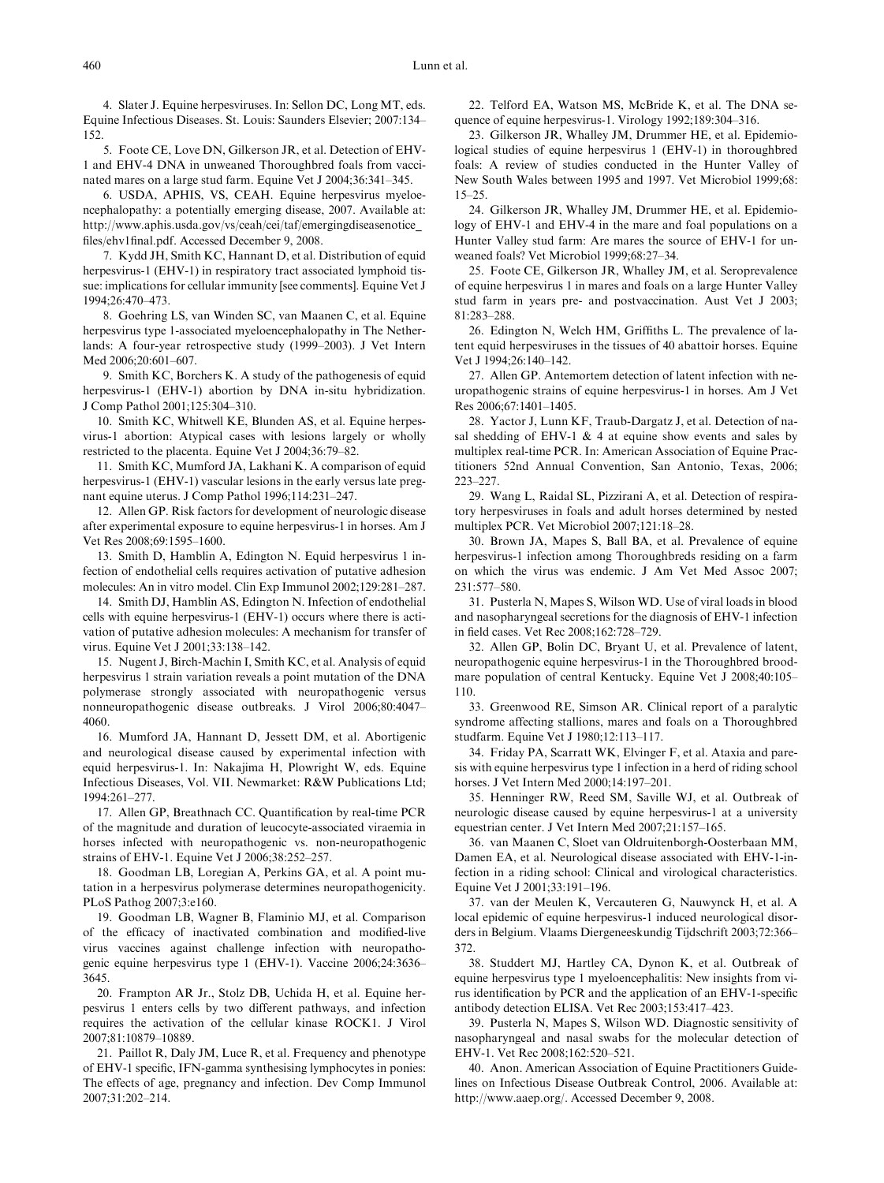460 Lunn et al.

4. Slater J. Equine herpesviruses. In: Sellon DC, Long MT, eds. Equine Infectious Diseases. St. Louis: Saunders Elsevier; 2007:134– 152.

5. Foote CE, Love DN, Gilkerson JR, et al. Detection of EHV-1 and EHV-4 DNA in unweaned Thoroughbred foals from vaccinated mares on a large stud farm. Equine Vet J 2004;36:341–345.

6. USDA, APHIS, VS, CEAH. Equine herpesvirus myeloencephalopathy: a potentially emerging disease, 2007. Available at: [http://www.aphis.usda.gov/vs/ceah/cei/taf/emergingdiseasenotice\\_](http://www.aphis.usda.gov/vs/ceah/cei/taf/emergingdiseasenotice_files/ehv1final.pdf) [files/ehv1final.pdf. Accessed December 9, 2008.](http://www.aphis.usda.gov/vs/ceah/cei/taf/emergingdiseasenotice_files/ehv1final.pdf)

7. Kydd JH, Smith KC, Hannant D, et al. Distribution of equid herpesvirus-1 (EHV-1) in respiratory tract associated lymphoid tissue: implications for cellular immunity [see comments]. Equine Vet J 1994;26:470–473.

8. Goehring LS, van Winden SC, van Maanen C, et al. Equine herpesvirus type 1-associated myeloencephalopathy in The Netherlands: A four-year retrospective study (1999–2003). J Vet Intern Med 2006;20:601–607.

9. Smith KC, Borchers K. A study of the pathogenesis of equid herpesvirus-1 (EHV-1) abortion by DNA in-situ hybridization. J Comp Pathol 2001;125:304–310.

10. Smith KC, Whitwell KE, Blunden AS, et al. Equine herpesvirus-1 abortion: Atypical cases with lesions largely or wholly restricted to the placenta. Equine Vet J 2004;36:79–82.

11. Smith KC, Mumford JA, Lakhani K. A comparison of equid herpesvirus-1 (EHV-1) vascular lesions in the early versus late pregnant equine uterus. J Comp Pathol 1996;114:231–247.

12. Allen GP. Risk factors for development of neurologic disease after experimental exposure to equine herpesvirus-1 in horses. Am J Vet Res 2008;69:1595–1600.

13. Smith D, Hamblin A, Edington N. Equid herpesvirus 1 infection of endothelial cells requires activation of putative adhesion molecules: An in vitro model. Clin Exp Immunol 2002;129:281–287.

14. Smith DJ, Hamblin AS, Edington N. Infection of endothelial cells with equine herpesvirus-1 (EHV-1) occurs where there is activation of putative adhesion molecules: A mechanism for transfer of virus. Equine Vet J 2001;33:138–142.

15. Nugent J, Birch-Machin I, Smith KC, et al. Analysis of equid herpesvirus 1 strain variation reveals a point mutation of the DNA polymerase strongly associated with neuropathogenic versus nonneuropathogenic disease outbreaks. J Virol 2006;80:4047– 4060.

16. Mumford JA, Hannant D, Jessett DM, et al. Abortigenic and neurological disease caused by experimental infection with equid herpesvirus-1. In: Nakajima H, Plowright W, eds. Equine Infectious Diseases, Vol. VII. Newmarket: R&W Publications Ltd; 1994:261–277.

17. Allen GP, Breathnach CC. Quantification by real-time PCR of the magnitude and duration of leucocyte-associated viraemia in horses infected with neuropathogenic vs. non-neuropathogenic strains of EHV-1. Equine Vet J 2006;38:252–257.

18. Goodman LB, Loregian A, Perkins GA, et al. A point mutation in a herpesvirus polymerase determines neuropathogenicity. PLoS Pathog 2007;3:e160.

19. Goodman LB, Wagner B, Flaminio MJ, et al. Comparison of the efficacy of inactivated combination and modified-live virus vaccines against challenge infection with neuropathogenic equine herpesvirus type 1 (EHV-1). Vaccine 2006;24:3636– 3645.

20. Frampton AR Jr., Stolz DB, Uchida H, et al. Equine herpesvirus 1 enters cells by two different pathways, and infection requires the activation of the cellular kinase ROCK1. J Virol 2007;81:10879–10889.

21. Paillot R, Daly JM, Luce R, et al. Frequency and phenotype of EHV-1 specific, IFN-gamma synthesising lymphocytes in ponies: The effects of age, pregnancy and infection. Dev Comp Immunol 2007;31:202–214.

22. Telford EA, Watson MS, McBride K, et al. The DNA sequence of equine herpesvirus-1. Virology 1992;189:304–316.

23. Gilkerson JR, Whalley JM, Drummer HE, et al. Epidemiological studies of equine herpesvirus 1 (EHV-1) in thoroughbred foals: A review of studies conducted in the Hunter Valley of New South Wales between 1995 and 1997. Vet Microbiol 1999;68: 15–25.

24. Gilkerson JR, Whalley JM, Drummer HE, et al. Epidemiology of EHV-1 and EHV-4 in the mare and foal populations on a Hunter Valley stud farm: Are mares the source of EHV-1 for unweaned foals? Vet Microbiol 1999;68:27–34.

25. Foote CE, Gilkerson JR, Whalley JM, et al. Seroprevalence of equine herpesvirus 1 in mares and foals on a large Hunter Valley stud farm in years pre- and postvaccination. Aust Vet J 2003; 81:283–288.

26. Edington N, Welch HM, Griffiths L. The prevalence of latent equid herpesviruses in the tissues of 40 abattoir horses. Equine Vet J 1994;26:140–142.

27. Allen GP. Antemortem detection of latent infection with neuropathogenic strains of equine herpesvirus-1 in horses. Am J Vet Res 2006;67:1401–1405.

28. Yactor J, Lunn KF, Traub-Dargatz J, et al. Detection of nasal shedding of EHV-1  $\&$  4 at equine show events and sales by multiplex real-time PCR. In: American Association of Equine Practitioners 52nd Annual Convention, San Antonio, Texas, 2006; 223–227.

29. Wang L, Raidal SL, Pizzirani A, et al. Detection of respiratory herpesviruses in foals and adult horses determined by nested multiplex PCR. Vet Microbiol 2007;121:18–28.

30. Brown JA, Mapes S, Ball BA, et al. Prevalence of equine herpesvirus-1 infection among Thoroughbreds residing on a farm on which the virus was endemic. J Am Vet Med Assoc 2007; 231:577–580.

31. Pusterla N, Mapes S, Wilson WD. Use of viral loads in blood and nasopharyngeal secretions for the diagnosis of EHV-1 infection in field cases. Vet Rec 2008;162:728–729.

32. Allen GP, Bolin DC, Bryant U, et al. Prevalence of latent, neuropathogenic equine herpesvirus-1 in the Thoroughbred broodmare population of central Kentucky. Equine Vet J 2008;40:105– 110.

33. Greenwood RE, Simson AR. Clinical report of a paralytic syndrome affecting stallions, mares and foals on a Thoroughbred studfarm. Equine Vet J 1980;12:113–117.

34. Friday PA, Scarratt WK, Elvinger F, et al. Ataxia and paresis with equine herpesvirus type 1 infection in a herd of riding school horses. J Vet Intern Med 2000;14:197–201.

35. Henninger RW, Reed SM, Saville WJ, et al. Outbreak of neurologic disease caused by equine herpesvirus-1 at a university equestrian center. J Vet Intern Med 2007;21:157–165.

36. van Maanen C, Sloet van Oldruitenborgh-Oosterbaan MM, Damen EA, et al. Neurological disease associated with EHV-1-infection in a riding school: Clinical and virological characteristics. Equine Vet J 2001;33:191–196.

37. van der Meulen K, Vercauteren G, Nauwynck H, et al. A local epidemic of equine herpesvirus-1 induced neurological disorders in Belgium. Vlaams Diergeneeskundig Tijdschrift 2003;72:366– 372.

38. Studdert MJ, Hartley CA, Dynon K, et al. Outbreak of equine herpesvirus type 1 myeloencephalitis: New insights from virus identification by PCR and the application of an EHV-1-specific antibody detection ELISA. Vet Rec 2003;153:417–423.

39. Pusterla N, Mapes S, Wilson WD. Diagnostic sensitivity of nasopharyngeal and nasal swabs for the molecular detection of EHV-1. Vet Rec 2008;162:520–521.

40. Anon. American Association of Equine Practitioners Guidelines on Infectious Disease Outbreak Control, 2006. Available at: [http://www.aaep.org/. Accessed December 9, 2008.](http://www.aaep.org/a4.3d)